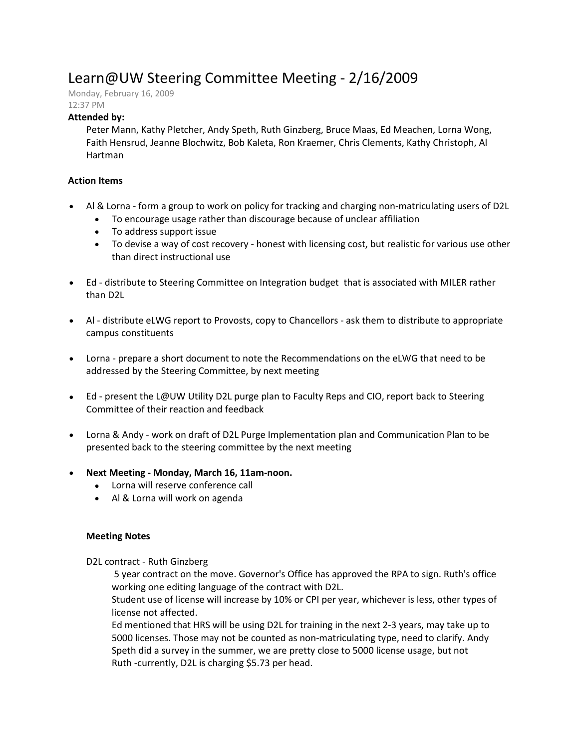# Learn@UW Steering Committee Meeting - 2/16/2009

Monday, February 16, 2009

# 12:37 PM

## **Attended by:**

Peter Mann, Kathy Pletcher, Andy Speth, Ruth Ginzberg, Bruce Maas, Ed Meachen, Lorna Wong, Faith Hensrud, Jeanne Blochwitz, Bob Kaleta, Ron Kraemer, Chris Clements, Kathy Christoph, Al Hartman

### **Action Items**

- Al & Lorna form a group to work on policy for tracking and charging non-matriculating users of D2L
	- To encourage usage rather than discourage because of unclear affiliation
	- To address support issue
	- To devise a way of cost recovery honest with licensing cost, but realistic for various use other than direct instructional use
- Ed distribute to Steering Committee on Integration budget that is associated with MILER rather than D2L
- Al distribute eLWG report to Provosts, copy to Chancellors ask them to distribute to appropriate campus constituents
- Lorna prepare a short document to note the Recommendations on the eLWG that need to be addressed by the Steering Committee, by next meeting
- Ed present the L@UW Utility D2L purge plan to Faculty Reps and CIO, report back to Steering Committee of their reaction and feedback
- Lorna & Andy work on draft of D2L Purge Implementation plan and Communication Plan to be presented back to the steering committee by the next meeting
- **Next Meeting - Monday, March 16, 11am-noon.**
	- Lorna will reserve conference call
	- Al & Lorna will work on agenda

#### **Meeting Notes**

D2L contract - Ruth Ginzberg

5 year contract on the move. Governor's Office has approved the RPA to sign. Ruth's office working one editing language of the contract with D2L.

Student use of license will increase by 10% or CPI per year, whichever is less, other types of license not affected.

Ed mentioned that HRS will be using D2L for training in the next 2-3 years, may take up to 5000 licenses. Those may not be counted as non-matriculating type, need to clarify. Andy Speth did a survey in the summer, we are pretty close to 5000 license usage, but not Ruth -currently, D2L is charging \$5.73 per head.